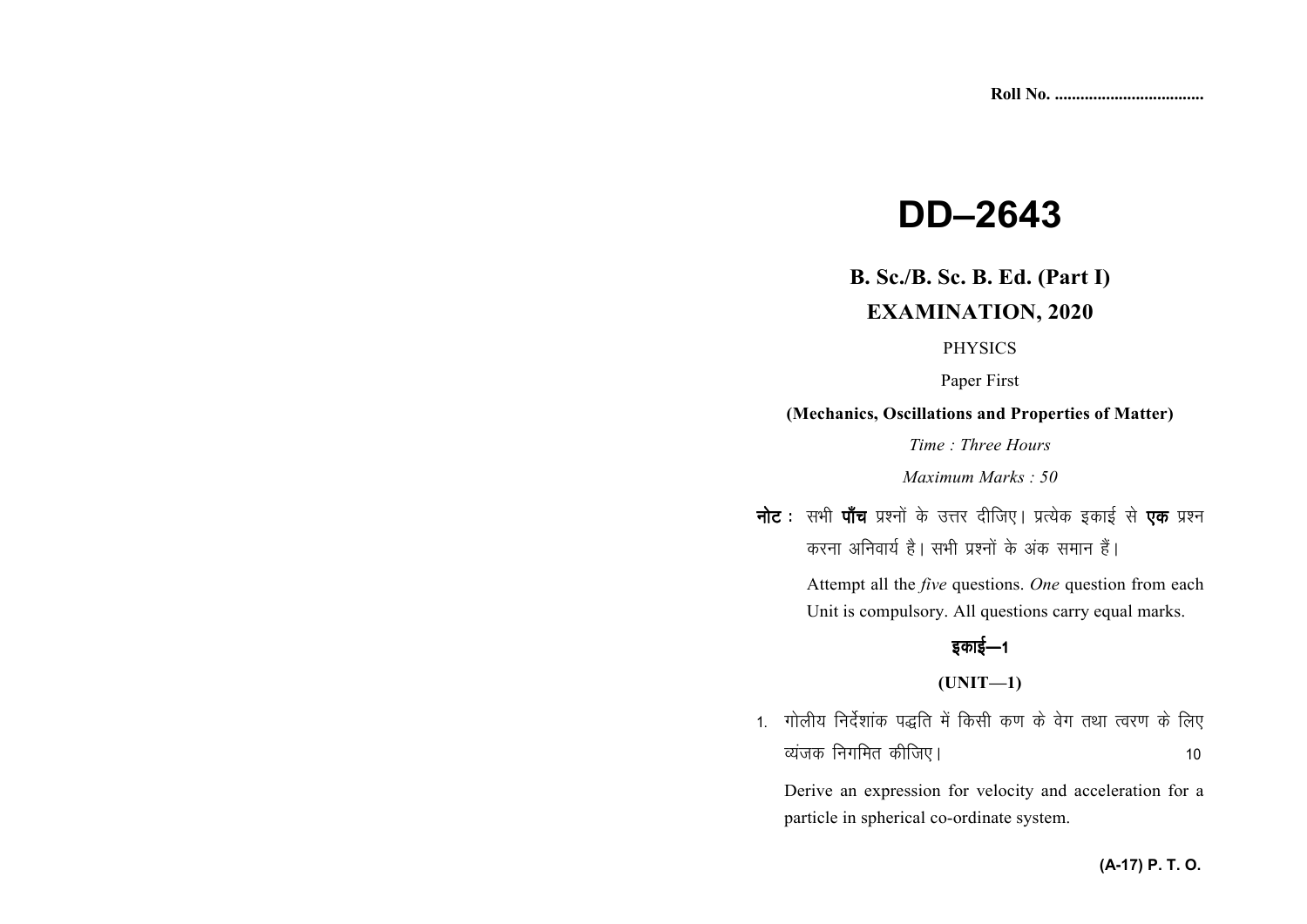# **DD-2643**

# **B. Sc./B. Sc. B. Ed. (Part I) EXAMINATION, 2020**

#### **PHYSICS**

Paper First

#### (Mechanics, Oscillations and Properties of Matter)

Time: Three Hours

Maximum Marks: 50

नोट : सभी पाँच प्रश्नों के उत्तर दीजिए। प्रत्येक इकाई से एक प्रश्न करना अनिवार्य है। सभी प्रश्नों के अंक समान हैं।

> Attempt all the *five* questions. One question from each Unit is compulsory. All questions carry equal marks.

## इकाई—1

### $(UNIT-1)$

1. गोलीय निर्देशांक पद्धति में किसी कण के वेग तथा त्वरण के लिए व्यंजक निगमित कीजिए।  $10$ 

Derive an expression for velocity and acceleration for a particle in spherical co-ordinate system.

#### (A-17) P. T. O.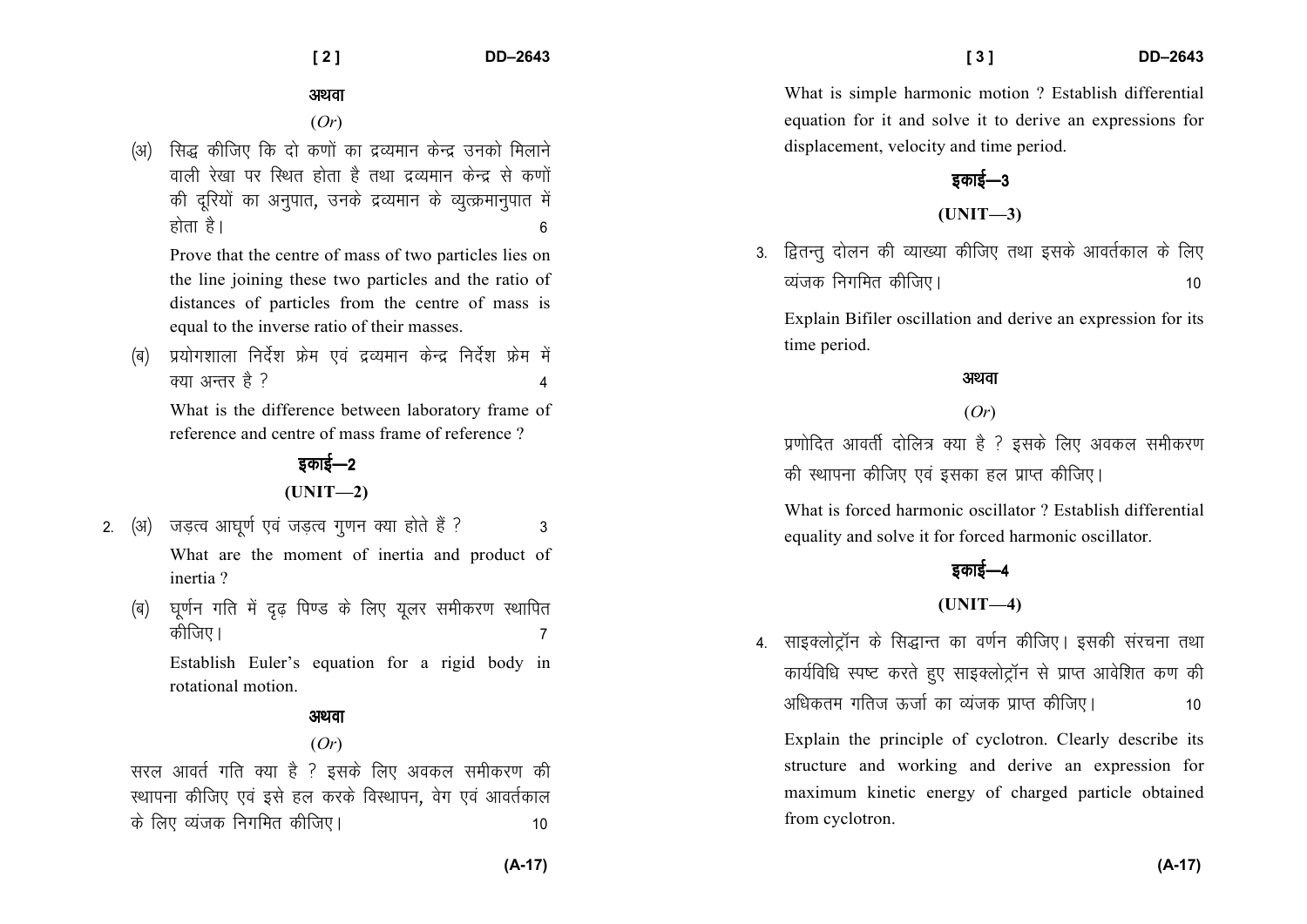#### अथवा

(*Or*)

(अ) सिद्ध कीजिए कि दो कणों का द्रव्यमान केन्द्र उनको मिलाने वाली रेखा पर रिथत होता है तथा द्रव्यमान केन्द्र से कणों की दूरियों का अनुपात, उनके द्रव्यमान के व्युत्क्रमानुपात में होता है।  $\overline{6}$ 

Prove that the centre of mass of two particles lies on the line joining these two particles and the ratio of distances of particles from the centre of mass is equal to the inverse ratio of their masses.

(ब) प्रयोगशाला निर्देश फ्रेम एवं द्रव्यमान केन्द्र निर्देश फ्रेम में  $\sigma$ या अन्तर है ?

What is the difference between laboratory frame of reference and centre of mass frame of reference ?

## डकाई—2 **(UNIT—2)**

- 2. (अ) जडत्व आघुर्ण एवं जडत्व गुणन क्या होते हैं ? 3 What are the moment of inertia and product of inertia ?
	- (ब) घूर्णन गति में दृढ़ पिण्ड के लिए यूलर समीकरण स्थापित dhft,A 7

Establish Euler's equation for a rigid body in rotational motion.

## अथवा

### (*Or*)

सरल आवर्त गति क्या है ? इसके लिए अवकल समीकरण की स्थापना कीजिए एवं इसे हल करके विस्थापन, वेग एवं आवर्तकाल ds fy, O;atd fuxfer dhft,A 10

What is simple harmonic motion ? Establish differential equation for it and solve it to derive an expressions for displacement, velocity and time period.

## डकाई—3

#### **(UNIT—3)**

3. द्वितन्तु दोलन की व्याख्या कीजिए तथा इसके आवर्तकाल के लिए  $\overline{\text{c}a\text{u}}$ जक निगमित कीजिए।

Explain Bifiler oscillation and derive an expression for its time period.

#### अथवा

### (*Or*)

प्रणोदित आवर्ती दोलित्र क्या है ? इसके लिए अवकल समीकरण की स्थापना कीजिए एवं इसका हल प्राप्त कीजिए।

What is forced harmonic oscillator ? Establish differential equality and solve it for forced harmonic oscillator.

# डकाई—4

## **(UNIT—4)**

4. साइक्लोट्रॉन के सिद्धान्त का वर्णन कीजिए। इसकी संरचना तथा कार्यविधि स्पष्ट करते हुए साइक्लोट्रॉन से प्राप्त आवेशित कण की अधिकतम गतिज ऊर्जा का व्यंजक प्राप्त कीजिए। 10

Explain the principle of cyclotron. Clearly describe its structure and working and derive an expression for maximum kinetic energy of charged particle obtainedfrom cyclotron.